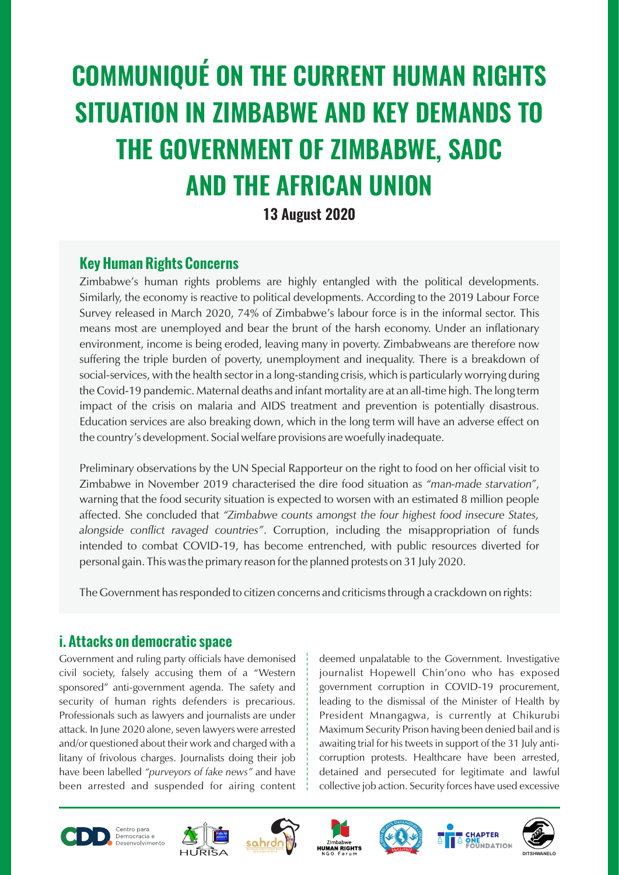# **COMMUNIQUÉ ON THE CURRENT HUMAN RIGHTS SITUATION IN ZIMBABWE AND KEY DEMANDS TO THE GOVERNMENT OF ZIMBABWE, SADC AND THE AFRICAN UNION**

#### **13 August 2020**

#### **Key Human Rights Concerns**

Zimbabwe's human rights problems are highly entangled with the political developments. Similarly, the economy is reactive to political developments. According to the 2019 Labour Force Survey released in March 2020, 74% of Zimbabwe's labour force is in the informal sector. This means most are unemployed and bear the brunt of the harsh economy. Under an inflationary environment, income is being eroded, leaving many in poverty. Zimbabweans are therefore now suffering the triple burden of poverty, unemployment and inequality. There is a breakdown of social-services, with the health sector in a long-standing crisis, which is particularly worrying during the Covid-19 pandemic. Maternal deaths and infant mortality are at an all-time high. The long term impact of the crisis on malaria and AIDS treatment and prevention is potentially disastrous. Education services are also breaking down, which in the long term will have an adverse effect on the country's development. Social welfare provisions are woefully inadequate.

Preliminary observations by the UN Special Rapporteur on the right to food on her official visit to Zimbabwe in November 2019 characterised the dire food situation as *"man-made starvation"*, warning that the food security situation is expected to worsen with an estimated 8 million people affected. She concluded that *"Zimbabwe counts amongst the four highest food insecure States, alongside conflict ravaged countries"*. Corruption, including the misappropriation of funds intended to combat COVID-19, has become entrenched, with public resources diverted for personal gain. This was the primary reason for the planned protests on 31 July 2020.

The Government has responded to citizen concerns and criticisms through a crackdown on rights:

#### **i. Attacks on democratic space**

Government and ruling party officials have demonised civil society, falsely accusing them of a "Western sponsored" anti-government agenda. The safety and security of human rights defenders is precarious. Professionals such as lawyers and journalists are under attack. In June 2020 alone, seven lawyers were arrested and/or questioned about their work and charged with a litany of frivolous charges. Journalists doing their job have been labelled *"purveyors of fake news"* and have been arrested and suspended for airing content

deemed unpalatable to the Government. Investigative journalist Hopewell Chin'ono who has exposed government corruption in COVID-19 procurement, leading to the dismissal of the Minister of Health by President Mnangagwa, is currently at Chikurubi Maximum Security Prison having been denied bail and is awaiting trial for his tweets in support of the 31 July anticorruption protests. Healthcare have been arrested, detained and persecuted for legitimate and lawful collective job action. Security forces have used excessive













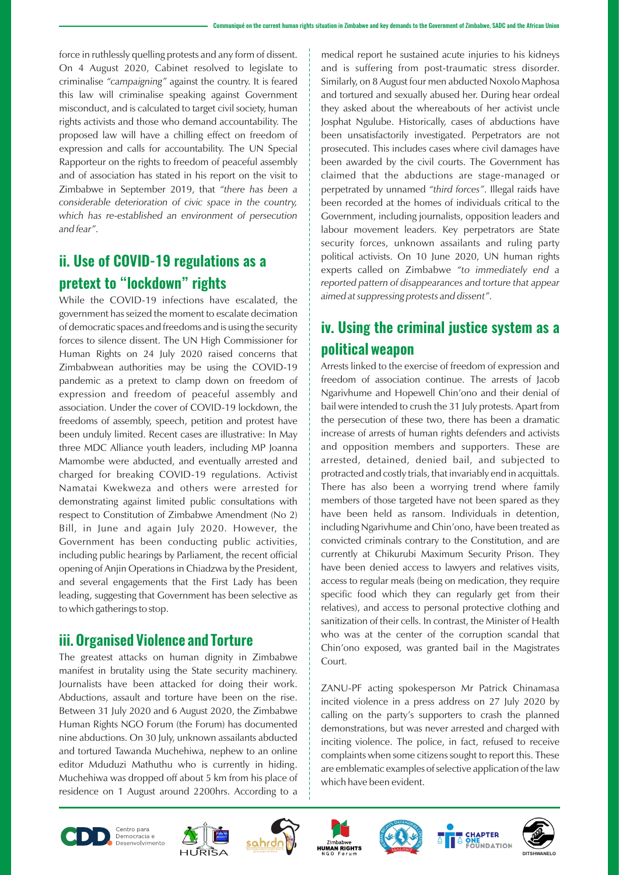force in ruthlessly quelling protests and any form of dissent. On 4 August 2020, Cabinet resolved to legislate to criminalise *"campaigning"* against the country. It is feared this law will criminalise speaking against Government misconduct, and is calculated to target civil society, human rights activists and those who demand accountability. The proposed law will have a chilling effect on freedom of expression and calls for accountability. The UN Special Rapporteur on the rights to freedom of peaceful assembly and of association has stated in his report on the visit to Zimbabwe in September 2019, that *"there has been a considerable deterioration of civic space in the country, which has re-established an environment of persecution and fear"*.

## **ii. Use of COVID-19 regulations as a pretext to "lockdown" rights**

While the COVID-19 infections have escalated, the government has seized the moment to escalate decimation of democratic spaces and freedoms and is using the security forces to silence dissent. The UN High Commissioner for Human Rights on 24 July 2020 raised concerns that Zimbabwean authorities may be using the COVID-19 pandemic as a pretext to clamp down on freedom of expression and freedom of peaceful assembly and association. Under the cover of COVID-19 lockdown, the freedoms of assembly, speech, petition and protest have been unduly limited. Recent cases are illustrative: In May three MDC Alliance youth leaders, including MP Joanna Mamombe were abducted, and eventually arrested and charged for breaking COVID-19 regulations. Activist Namatai Kwekweza and others were arrested for demonstrating against limited public consultations with respect to Constitution of Zimbabwe Amendment (No 2) Bill, in June and again July 2020. However, the Government has been conducting public activities, including public hearings by Parliament, the recent official opening of Anjin Operations in Chiadzwa by the President, and several engagements that the First Lady has been leading, suggesting that Government has been selective as to which gatherings to stop.

#### **iii. Organised Violence and Torture**

The greatest attacks on human dignity in Zimbabwe manifest in brutality using the State security machinery. Journalists have been attacked for doing their work. Abductions, assault and torture have been on the rise. Between 31 July 2020 and 6 August 2020, the Zimbabwe Human Rights NGO Forum (the Forum) has documented nine abductions. On 30 July, unknown assailants abducted and tortured Tawanda Muchehiwa, nephew to an online editor Mduduzi Mathuthu who is currently in hiding. Muchehiwa was dropped off about 5 km from his place of residence on 1 August around 2200hrs. According to a

medical report he sustained acute injuries to his kidneys and is suffering from post-traumatic stress disorder. Similarly, on 8 August four men abducted Noxolo Maphosa and tortured and sexually abused her. During hear ordeal they asked about the whereabouts of her activist uncle Josphat Ngulube. Historically, cases of abductions have been unsatisfactorily investigated. Perpetrators are not prosecuted. This includes cases where civil damages have been awarded by the civil courts. The Government has claimed that the abductions are stage-managed or perpetrated by unnamed *"third forces"*. Illegal raids have been recorded at the homes of individuals critical to the Government, including journalists, opposition leaders and labour movement leaders. Key perpetrators are State security forces, unknown assailants and ruling party political activists. On 10 June 2020, UN human rights experts called on Zimbabwe *"to immediately end a reported pattern of disappearances and torture that appear aimed at suppressing protests and dissent"*.

### **iv. Using the criminal justice system as a political weapon**

Arrests linked to the exercise of freedom of expression and freedom of association continue. The arrests of Jacob Ngarivhume and Hopewell Chin'ono and their denial of bail were intended to crush the 31 July protests. Apart from the persecution of these two, there has been a dramatic increase of arrests of human rights defenders and activists and opposition members and supporters. These are arrested, detained, denied bail, and subjected to protracted and costly trials, that invariably end in acquittals. There has also been a worrying trend where family members of those targeted have not been spared as they have been held as ransom. Individuals in detention, including Ngarivhume and Chin'ono, have been treated as convicted criminals contrary to the Constitution, and are currently at Chikurubi Maximum Security Prison. They have been denied access to lawyers and relatives visits, access to regular meals (being on medication, they require specific food which they can regularly get from their relatives), and access to personal protective clothing and sanitization of their cells. In contrast, the Minister of Health who was at the center of the corruption scandal that Chin'ono exposed, was granted bail in the Magistrates Court.

ZANU-PF acting spokesperson Mr Patrick Chinamasa incited violence in a press address on 27 July 2020 by calling on the party's supporters to crash the planned demonstrations, but was never arrested and charged with inciting violence. The police, in fact, refused to receive complaints when some citizens sought to report this. These are emblematic examples of selective application of the law which have been evident.